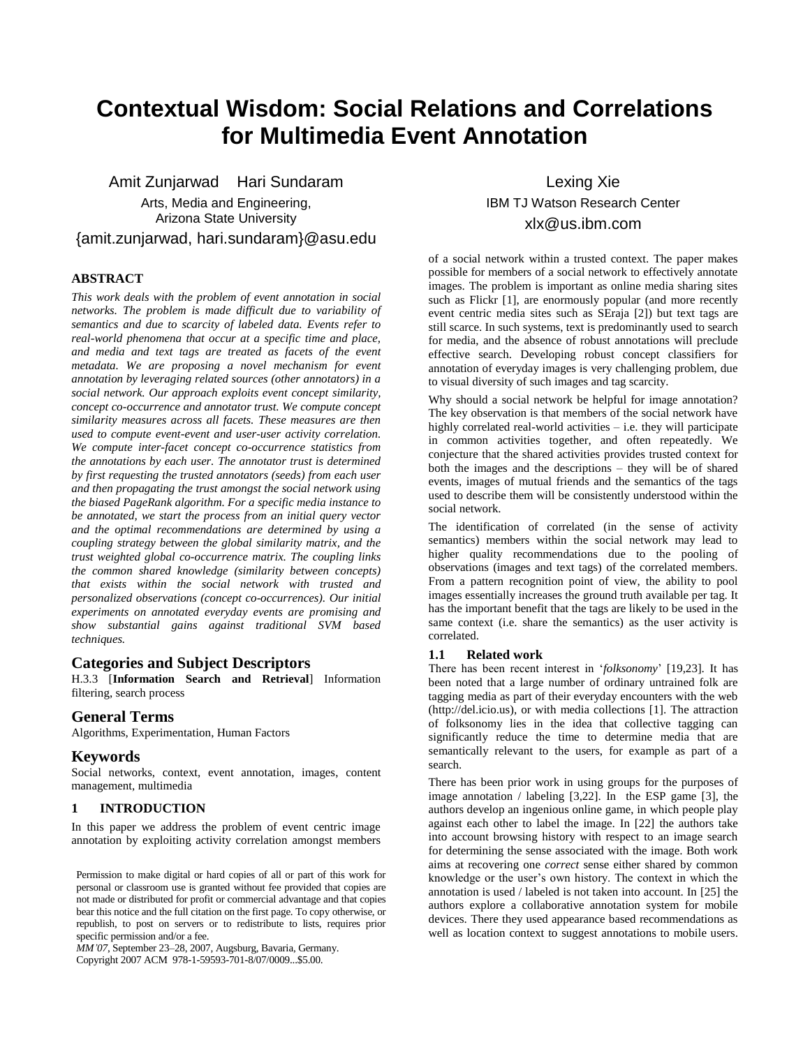# **Contextual Wisdom: Social Relations and Correlations for Multimedia Event Annotation**

Amit Zunjarwad Hari Sundaram

Arts, Media and Engineering, Arizona State University {amit.zunjarwad, [hari.sundaram}@asu.edu](mailto:hari.sundaram%7d@asu.edu)

# **ABSTRACT**

*This work deals with the problem of event annotation in social networks. The problem is made difficult due to variability of semantics and due to scarcity of labeled data. Events refer to real-world phenomena that occur at a specific time and place, and media and text tags are treated as facets of the event metadata. We are proposing a novel mechanism for event annotation by leveraging related sources (other annotators) in a social network. Our approach exploits event concept similarity, concept co-occurrence and annotator trust. We compute concept similarity measures across all facets. These measures are then used to compute event-event and user-user activity correlation. We compute inter-facet concept co-occurrence statistics from the annotations by each user. The annotator trust is determined by first requesting the trusted annotators (seeds) from each user and then propagating the trust amongst the social network using the biased PageRank algorithm. For a specific media instance to be annotated, we start the process from an initial query vector and the optimal recommendations are determined by using a coupling strategy between the global similarity matrix, and the trust weighted global co-occurrence matrix. The coupling links the common shared knowledge (similarity between concepts) that exists within the social network with trusted and personalized observations (concept co-occurrences). Our initial experiments on annotated everyday events are promising and show substantial gains against traditional SVM based techniques.* 

# **Categories and Subject Descriptors**

H.3.3 [**Information Search and Retrieval**] Information filtering, search process

# **General Terms**

Algorithms, Experimentation, Human Factors

# **Keywords**

Social networks, context, event annotation, images, content management, multimedia

# **1 INTRODUCTION**

In this paper we address the problem of event centric image annotation by exploiting activity correlation amongst members

*MM'07*, September 23–28, 2007, Augsburg, Bavaria, Germany. Copyright 2007 ACM 978-1-59593-701-8/07/0009...\$5.00.

Lexing Xie IBM TJ Watson Research Center xlx@us.ibm.com

of a social network within a trusted context. The paper makes possible for members of a social network to effectively annotate images. The problem is important as online media sharing sites such as Flickr [1], are enormously popular (and more recently event centric media sites such as SEraja [2]) but text tags are still scarce. In such systems, text is predominantly used to search for media, and the absence of robust annotations will preclude effective search. Developing robust concept classifiers for annotation of everyday images is very challenging problem, due to visual diversity of such images and tag scarcity.

Why should a social network be helpful for image annotation? The key observation is that members of the social network have highly correlated real-world activities – i.e. they will participate in common activities together, and often repeatedly. We conjecture that the shared activities provides trusted context for both the images and the descriptions – they will be of shared events, images of mutual friends and the semantics of the tags used to describe them will be consistently understood within the social network.

The identification of correlated (in the sense of activity semantics) members within the social network may lead to higher quality recommendations due to the pooling of observations (images and text tags) of the correlated members. From a pattern recognition point of view, the ability to pool images essentially increases the ground truth available per tag. It has the important benefit that the tags are likely to be used in the same context (i.e. share the semantics) as the user activity is correlated.

# **1.1 Related work**

There has been recent interest in 'folksonomy' [19,23]. It has been noted that a large number of ordinary untrained folk are tagging media as part of their everyday encounters with the web [\(http://del.icio.us\)](http://del.icio.us/), or with media collections [1]. The attraction of folksonomy lies in the idea that collective tagging can significantly reduce the time to determine media that are semantically relevant to the users, for example as part of a search.

There has been prior work in using groups for the purposes of image annotation / labeling [3,22]. In the ESP game [3], the authors develop an ingenious online game, in which people play against each other to label the image. In [22] the authors take into account browsing history with respect to an image search for determining the sense associated with the image. Both work aims at recovering one *correct* sense either shared by common knowledge or the user"s own history. The context in which the annotation is used / labeled is not taken into account. In [25] the authors explore a collaborative annotation system for mobile devices. There they used appearance based recommendations as well as location context to suggest annotations to mobile users.

Permission to make digital or hard copies of all or part of this work for personal or classroom use is granted without fee provided that copies are not made or distributed for profit or commercial advantage and that copies bear this notice and the full citation on the first page. To copy otherwise, or republish, to post on servers or to redistribute to lists, requires prior specific permission and/or a fee.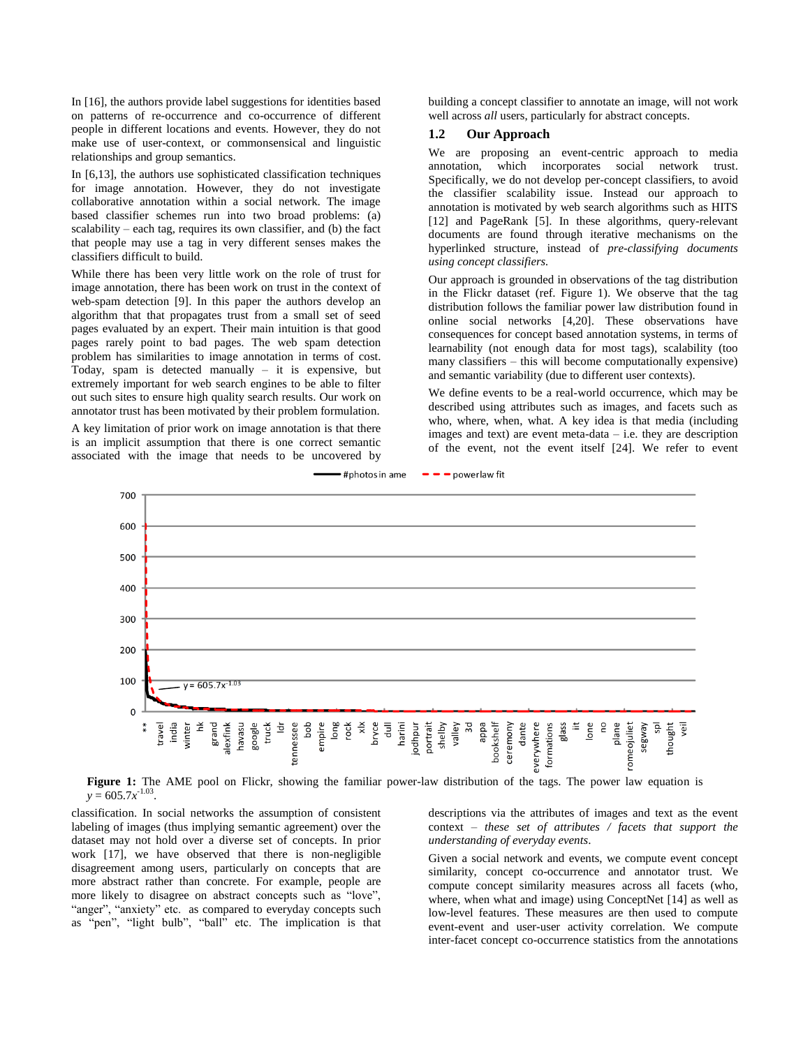In [16], the authors provide label suggestions for identities based on patterns of re-occurrence and co-occurrence of different people in different locations and events. However, they do not make use of user-context, or commonsensical and linguistic relationships and group semantics.

In [6,13], the authors use sophisticated classification techniques for image annotation. However, they do not investigate collaborative annotation within a social network. The image based classifier schemes run into two broad problems: (a) scalability – each tag, requires its own classifier, and (b) the fact that people may use a tag in very different senses makes the classifiers difficult to build.

While there has been very little work on the role of trust for image annotation, there has been work on trust in the context of web-spam detection [9]. In this paper the authors develop an algorithm that that propagates trust from a small set of seed pages evaluated by an expert. Their main intuition is that good pages rarely point to bad pages. The web spam detection problem has similarities to image annotation in terms of cost. Today, spam is detected manually – it is expensive, but extremely important for web search engines to be able to filter out such sites to ensure high quality search results. Our work on annotator trust has been motivated by their problem formulation.

A key limitation of prior work on image annotation is that there is an implicit assumption that there is one correct semantic associated with the image that needs to be uncovered by

building a concept classifier to annotate an image, will not work well across *all* users, particularly for abstract concepts.

# **1.2 Our Approach**

We are proposing an event-centric approach to media annotation, which incorporates social network trust. Specifically, we do not develop per-concept classifiers, to avoid the classifier scalability issue. Instead our approach to annotation is motivated by web search algorithms such as HITS [12] and PageRank [5]. In these algorithms, query-relevant documents are found through iterative mechanisms on the hyperlinked structure, instead of *pre-classifying documents using concept classifiers.*

Our approach is grounded in observations of the tag distribution in the Flickr dataset (ref. [Figure 1\)](#page-1-0). We observe that the tag distribution follows the familiar power law distribution found in online social networks [4,20]. These observations have consequences for concept based annotation systems, in terms of learnability (not enough data for most tags), scalability (too many classifiers – this will become computationally expensive) and semantic variability (due to different user contexts).

We define events to be a real-world occurrence, which may be described using attributes such as images, and facets such as who, where, when, what. A key idea is that media (including images and text) are event meta-data – i.e. they are description of the event, not the event itself [24]. We refer to event



#photos in ame  $\bullet$   $\bullet$   $\bullet$  powerlaw fit

<span id="page-1-0"></span>**Figure 1:** The AME pool on Flickr, showing the familiar power-law distribution of the tags. The power law equation is  $y = 605.7x^{1.03}$ .

classification. In social networks the assumption of consistent labeling of images (thus implying semantic agreement) over the dataset may not hold over a diverse set of concepts. In prior work [17], we have observed that there is non-negligible disagreement among users, particularly on concepts that are more abstract rather than concrete. For example, people are more likely to disagree on abstract concepts such as "love", "anger", "anxiety" etc. as compared to everyday concepts such as "pen", "light bulb", "ball" etc. The implication is that descriptions via the attributes of images and text as the event context – *these set of attributes / facets that support the understanding of everyday events*.

Given a social network and events, we compute event concept similarity, concept co-occurrence and annotator trust. We compute concept similarity measures across all facets (who, where, when what and image) using ConceptNet [14] as well as low-level features. These measures are then used to compute event-event and user-user activity correlation. We compute inter-facet concept co-occurrence statistics from the annotations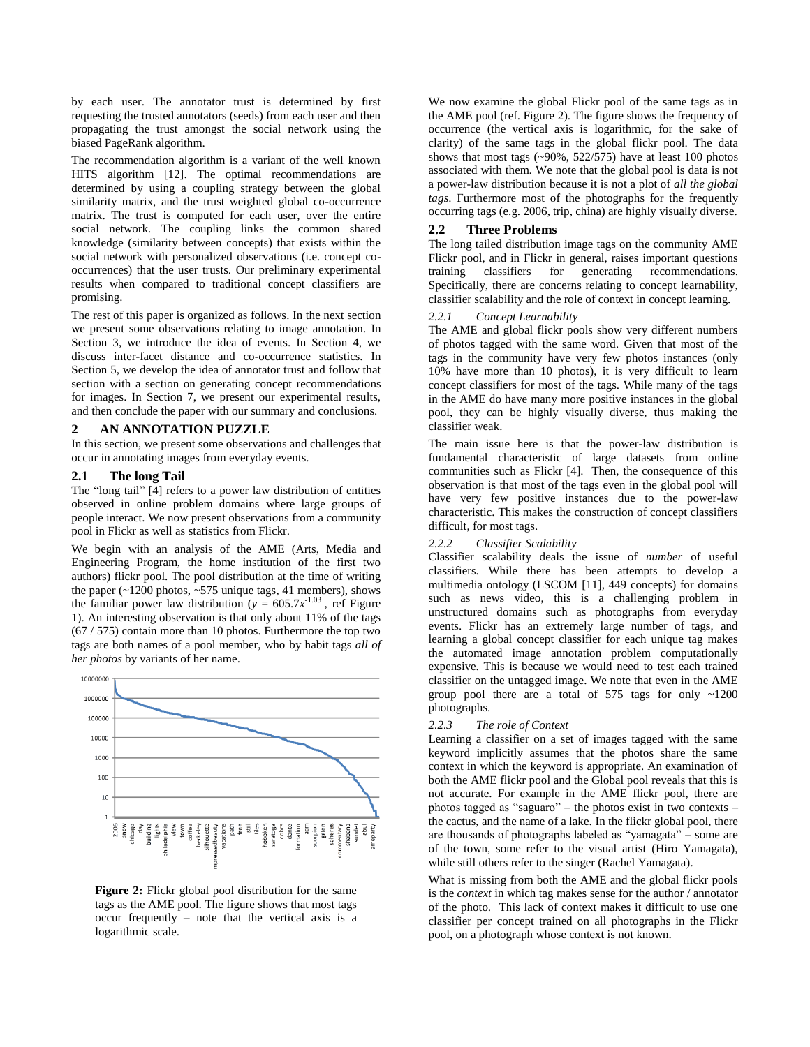by each user. The annotator trust is determined by first requesting the trusted annotators (seeds) from each user and then propagating the trust amongst the social network using the biased PageRank algorithm.

The recommendation algorithm is a variant of the well known HITS algorithm [12]. The optimal recommendations are determined by using a coupling strategy between the global similarity matrix, and the trust weighted global co-occurrence matrix. The trust is computed for each user, over the entire social network. The coupling links the common shared knowledge (similarity between concepts) that exists within the social network with personalized observations (i.e. concept cooccurrences) that the user trusts. Our preliminary experimental results when compared to traditional concept classifiers are promising.

The rest of this paper is organized as follows. In the next section we present some observations relating to image annotation. In Section [3,](#page-3-0) we introduce the idea of events. In Section [4,](#page-3-1) we discuss inter-facet distance and co-occurrence statistics. In Section [5,](#page-5-0) we develop the idea of annotator trust and follow that section with a section on generating concept recommendations for images. In Section [7,](#page-7-0) we present our experimental results, and then conclude the paper with our summary and conclusions.

#### **2 AN ANNOTATION PUZZLE**

In this section, we present some observations and challenges that occur in annotating images from everyday events.

#### **2.1 The long Tail**

The "long tail" [4] refers to a power law distribution of entities observed in online problem domains where large groups of people interact. We now present observations from a community pool in Flickr as well as statistics from Flickr.

We begin with an analysis of the AME (Arts, Media and Engineering Program, the home institution of the first two authors) flickr pool. The pool distribution at the time of writing the paper  $($  ~1200 photos,  $\sim$ 575 unique tags, 41 members), shows the familiar power law distribution ( $y = 605.7x^{1.03}$ , ref Figure [1\)](#page-1-0). An interesting observation is that only about 11% of the tags (67 / 575) contain more than 10 photos. Furthermore the top two tags are both names of a pool member, who by habit tags *all of her photos* by variants of her name.



<span id="page-2-0"></span>**Figure 2:** Flickr global pool distribution for the same tags as the AME pool. The figure shows that most tags occur frequently – note that the vertical axis is a logarithmic scale.

We now examine the global Flickr pool of the same tags as in the AME pool (ref[. Figure 2\)](#page-2-0). The figure shows the frequency of occurrence (the vertical axis is logarithmic, for the sake of clarity) of the same tags in the global flickr pool. The data shows that most tags  $(\sim 90\%, 522/575)$  have at least 100 photos associated with them. We note that the global pool is data is not a power-law distribution because it is not a plot of *all the global tags*. Furthermore most of the photographs for the frequently occurring tags (e.g. 2006, trip, china) are highly visually diverse.

#### **2.2 Three Problems**

The long tailed distribution image tags on the community AME Flickr pool, and in Flickr in general, raises important questions training classifiers for generating recommendations. Specifically, there are concerns relating to concept learnability, classifier scalability and the role of context in concept learning.

#### *2.2.1 Concept Learnability*

The AME and global flickr pools show very different numbers of photos tagged with the same word. Given that most of the tags in the community have very few photos instances (only 10% have more than 10 photos), it is very difficult to learn concept classifiers for most of the tags. While many of the tags in the AME do have many more positive instances in the global pool, they can be highly visually diverse, thus making the classifier weak.

The main issue here is that the power-law distribution is fundamental characteristic of large datasets from online communities such as Flickr [4]. Then, the consequence of this observation is that most of the tags even in the global pool will have very few positive instances due to the power-law characteristic. This makes the construction of concept classifiers difficult, for most tags.

#### *2.2.2 Classifier Scalability*

Classifier scalability deals the issue of *number* of useful classifiers. While there has been attempts to develop a multimedia ontology (LSCOM [11], 449 concepts) for domains such as news video, this is a challenging problem in unstructured domains such as photographs from everyday events. Flickr has an extremely large number of tags, and learning a global concept classifier for each unique tag makes the automated image annotation problem computationally expensive. This is because we would need to test each trained classifier on the untagged image. We note that even in the AME group pool there are a total of  $575$  tags for only  $\sim$ 1200 photographs.

#### *2.2.3 The role of Context*

Learning a classifier on a set of images tagged with the same keyword implicitly assumes that the photos share the same context in which the keyword is appropriate. An examination of both the AME flickr pool and the Global pool reveals that this is not accurate. For example in the AME flickr pool, there are photos tagged as "saguaro" – the photos exist in two contexts – the cactus, and the name of a lake. In the flickr global pool, there are thousands of photographs labeled as "yamagata" – some are of the town, some refer to the visual artist (Hiro Yamagata), while still others refer to the singer (Rachel Yamagata).

What is missing from both the AME and the global flickr pools is the *context* in which tag makes sense for the author / annotator of the photo. This lack of context makes it difficult to use one classifier per concept trained on all photographs in the Flickr pool, on a photograph whose context is not known.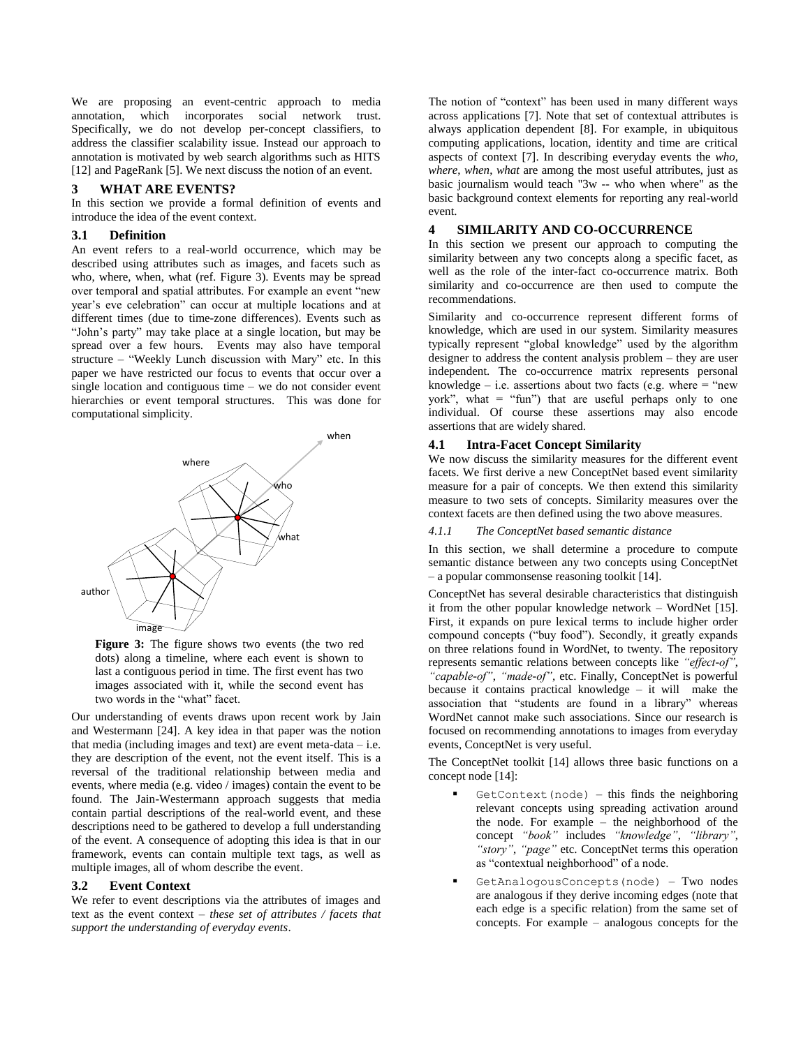We are proposing an event-centric approach to media annotation, which incorporates social network trust. Specifically, we do not develop per-concept classifiers, to address the classifier scalability issue. Instead our approach to annotation is motivated by web search algorithms such as HITS [12] and PageRank [5]. We next discuss the notion of an event.

# <span id="page-3-0"></span>**3 WHAT ARE EVENTS?**

In this section we provide a formal definition of events and introduce the idea of the event context.

# **3.1 Definition**

An event refers to a real-world occurrence, which may be described using attributes such as images, and facets such as who, where, when, what (ref. [Figure 3\)](#page-3-2). Events may be spread over temporal and spatial attributes. For example an event "new year"s eve celebration" can occur at multiple locations and at different times (due to time-zone differences). Events such as "John"s party" may take place at a single location, but may be spread over a few hours. Events may also have temporal structure – "Weekly Lunch discussion with Mary" etc. In this paper we have restricted our focus to events that occur over a single location and contiguous time – we do not consider event hierarchies or event temporal structures. This was done for computational simplicity.



<span id="page-3-2"></span>**Figure 3:** The figure shows two events (the two red dots) along a timeline, where each event is shown to last a contiguous period in time. The first event has two images associated with it, while the second event has two words in the "what" facet.

Our understanding of events draws upon recent work by Jain and Westermann [24]. A key idea in that paper was the notion that media (including images and text) are event meta-data  $-$  i.e. they are description of the event, not the event itself. This is a reversal of the traditional relationship between media and events, where media (e.g. video / images) contain the event to be found. The Jain-Westermann approach suggests that media contain partial descriptions of the real-world event, and these descriptions need to be gathered to develop a full understanding of the event. A consequence of adopting this idea is that in our framework, events can contain multiple text tags, as well as multiple images, all of whom describe the event.

# **3.2 Event Context**

We refer to event descriptions via the attributes of images and text as the event context – *these set of attributes / facets that support the understanding of everyday events*.

The notion of "context" has been used in many different ways across applications [7]. Note that set of contextual attributes is always application dependent [8]. For example, in ubiquitous computing applications, location, identity and time are critical aspects of context [7]. In describing everyday events the *who*, *where*, *when*, *what* are among the most useful attributes, just as basic journalism would teach "3w -- who when where" as the basic background context elements for reporting any real-world event.

# <span id="page-3-1"></span>**4 SIMILARITY AND CO-OCCURRENCE**

In this section we present our approach to computing the similarity between any two concepts along a specific facet, as well as the role of the inter-fact co-occurrence matrix. Both similarity and co-occurrence are then used to compute the recommendations.

Similarity and co-occurrence represent different forms of knowledge, which are used in our system. Similarity measures typically represent "global knowledge" used by the algorithm designer to address the content analysis problem – they are user independent. The co-occurrence matrix represents personal knowledge – i.e. assertions about two facts (e.g. where  $=$  "new york", what = "fun") that are useful perhaps only to one individual. Of course these assertions may also encode assertions that are widely shared.

## **4.1 Intra-Facet Concept Similarity**

We now discuss the similarity measures for the different event facets. We first derive a new ConceptNet based event similarity measure for a pair of concepts. We then extend this similarity measure to two sets of concepts. Similarity measures over the context facets are then defined using the two above measures.

#### *4.1.1 The ConceptNet based semantic distance*

In this section, we shall determine a procedure to compute semantic distance between any two concepts using ConceptNet – a popular commonsense reasoning toolkit [14].

ConceptNet has several desirable characteristics that distinguish it from the other popular knowledge network – WordNet [15]. First, it expands on pure lexical terms to include higher order compound concepts ("buy food"). Secondly, it greatly expands on three relations found in WordNet, to twenty. The repository represents semantic relations between concepts like *"effect-of"*, *"capable-of"*, *"made-of",* etc. Finally, ConceptNet is powerful because it contains practical knowledge – it will make the association that "students are found in a library" whereas WordNet cannot make such associations. Since our research is focused on recommending annotations to images from everyday events, ConceptNet is very useful.

The ConceptNet toolkit [14] allows three basic functions on a concept node [14]:

- $GetContext(node) this finds the neighboring$ relevant concepts using spreading activation around the node. For example – the neighborhood of the concept *"book"* includes *"knowledge"*, *"library"*, *"story"*, *"page"* etc. ConceptNet terms this operation as "contextual neighborhood" of a node.
- GetAnalogousConcepts(node) Two nodes are analogous if they derive incoming edges (note that each edge is a specific relation) from the same set of concepts. For example – analogous concepts for the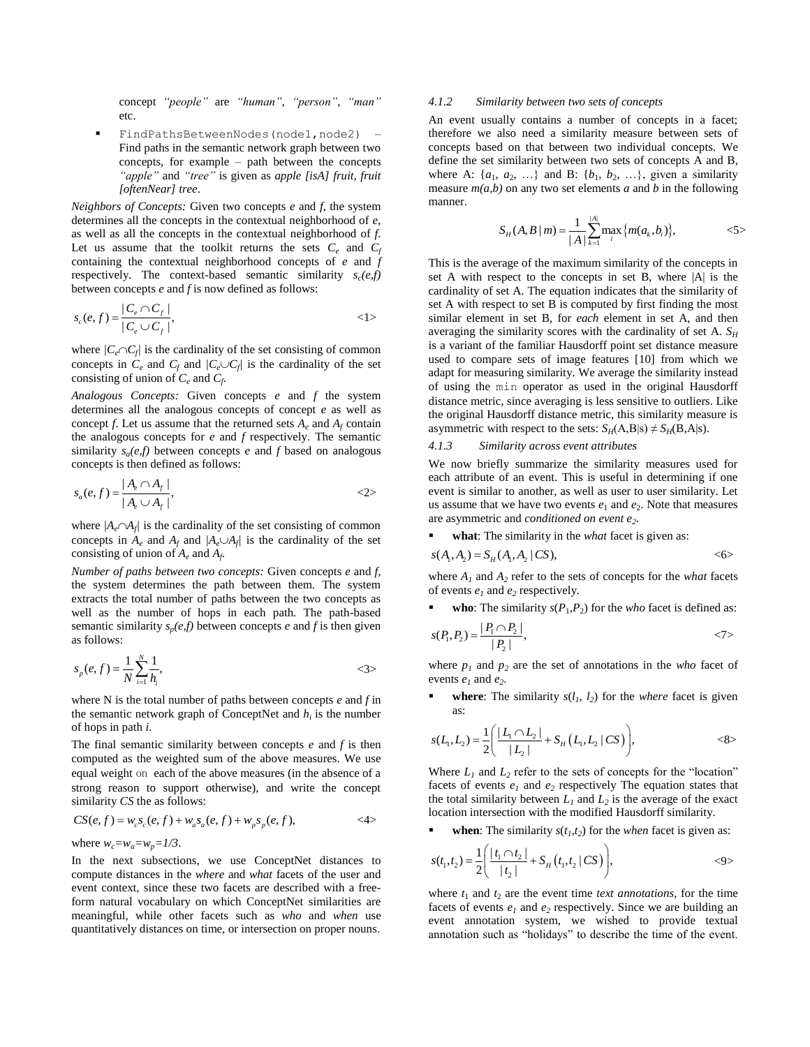concept *"people"* are *"human"*, *"person"*, *"man"* etc.

FindPathsBetweenNodes(node1,node2) -Find paths in the semantic network graph between two concepts, for example – path between the concepts *"apple"* and *"tree"* is given as *apple [isA] fruit*, *fruit [oftenNear] tree*.

*Neighbors of Concepts:* Given two concepts *e* and *f*, the system determines all the concepts in the contextual neighborhood of *e*, as well as all the concepts in the contextual neighborhood of *f*. Let us assume that the toolkit returns the sets  $C_e$  and  $C_f$ containing the contextual neighborhood concepts of *e* and *f* respectively. The context-based semantic similarity  $s_c(e,f)$ between concepts *e* and *f* is now defined as follows:

$$
s_c(e,f) = \frac{|C_e \cap C_f|}{|C_e \cup C_f|},\tag{1}
$$

where  $/C_e \cap C_f$  is the cardinality of the set consisting of common concepts in  $C_e$  and  $C_f$  and  $/C_e \cup C_f$  is the cardinality of the set consisting of union of *C<sup>e</sup>* and *C<sup>f</sup> .*

*Analogous Concepts:* Given concepts *e* and *f* the system determines all the analogous concepts of concept *e* as well as concept *f*. Let us assume that the returned sets  $A_e$  and  $A_f$  contain the analogous concepts for *e* and *f* respectively. The semantic similarity  $s_a(e,f)$  between concepts  $e$  and  $f$  based on analogous concepts is then defined as follows:

$$
s_a(e,f) = \frac{|A_e \cap A_f|}{|A_e \cup A_f|},\tag{2}
$$

where  $|A_e \cap A_f|$  is the cardinality of the set consisting of common concepts in  $A_e$  and  $A_f$  and  $|A_e \cup A_f|$  is the cardinality of the set consisting of union of *A<sup>e</sup>* and *A<sup>f</sup>* .

*Number of paths between two concepts:* Given concepts *e* and *f*, the system determines the path between them. The system extracts the total number of paths between the two concepts as well as the number of hops in each path. The path-based semantic similarity  $s_p(e,f)$  between concepts *e* and *f* is then given as follows:

$$
s_p(e, f) = \frac{1}{N} \sum_{i=1}^{N} \frac{1}{h_i},
$$

where N is the total number of paths between concepts *e* and *f* in the semantic network graph of ConceptNet and  $h_i$  is the number of hops in path *i*.

The final semantic similarity between concepts *e* and *f* is then computed as the weighted sum of the above measures. We use equal weight on each of the above measures (in the absence of a strong reason to support otherwise), and write the concept

similarity CS the as follows:  
\n
$$
CS(e, f) = w_c s_c(e, f) + w_a s_a(e, f) + w_p s_p(e, f),
$$
\n
$$
\langle 4 \rangle
$$

where 
$$
w_c = w_a = w_p = 1/3
$$
.

In the next subsections, we use ConceptNet distances to compute distances in the *where* and *what* facets of the user and event context, since these two facets are described with a freeform natural vocabulary on which ConceptNet similarities are meaningful, while other facets such as *who* and *when* use quantitatively distances on time, or intersection on proper nouns.

#### *4.1.2 Similarity between two sets of concepts*

An event usually contains a number of concepts in a facet; therefore we also need a similarity measure between sets of concepts based on that between two individual concepts. We define the set similarity between two sets of concepts A and B, where A:  $\{a_1, a_2, \ldots\}$  and B:  $\{b_1, b_2, \ldots\}$ , given a similarity measure  $m(a,b)$  on any two set elements  $a$  and  $b$  in the following manner.

$$
S_H(A, B \mid m) = \frac{1}{|A|} \sum_{k=1}^{|A|} \max_{i} \{m(a_k, b_i)\},
$$
  $\langle 5 \rangle$ 

This is the average of the maximum similarity of the concepts in set A with respect to the concepts in set B, where |A| is the cardinality of set A. The equation indicates that the similarity of set A with respect to set B is computed by first finding the most similar element in set B, for *each* element in set A, and then averaging the similarity scores with the cardinality of set A.  $S_H$ is a variant of the familiar Hausdorff point set distance measure used to compare sets of image features [10] from which we adapt for measuring similarity. We average the similarity instead of using the min operator as used in the original Hausdorff distance metric, since averaging is less sensitive to outliers. Like the original Hausdorff distance metric, this similarity measure is asymmetric with respect to the sets:  $S_H(A, B|s) \neq S_H(B, A|s)$ .

#### *4.1.3 Similarity across event attributes*

We now briefly summarize the similarity measures used for each attribute of an event. This is useful in determining if one event is similar to another, as well as user to user similarity. Let us assume that we have two events  $e_1$  and  $e_2$ . Note that measures are asymmetric and *conditioned on event e<sup>2</sup> .*

**what**: The similarity in the *what* facet is given as:

$$
s(A_1, A_2) = S_H(A_1, A_2 \mid CS), \tag{6}
$$

where  $A_1$  and  $A_2$  refer to the sets of concepts for the *what* facets of events *e<sup>1</sup>* and *e<sup>2</sup>* respectively.

**who**: The similarity  $s(P_1, P_2)$  for the *who* facet is defined as:

$$
s(P_1, P_2) = \frac{|P_1 \cap P_2|}{|P_2|},
$$
  $\langle 7 \rangle$ 

where  $p_1$  and  $p_2$  are the set of annotations in the *who* facet of events *e<sup>1</sup>* and *e<sup>2</sup>* .

**where**: The similarity  $s(l_1, l_2)$  for the *where* facet is given as:

$$
s(L_1, L_2) = \frac{1}{2} \left( \frac{|L_1 \cap L_2|}{|L_2|} + S_H(L_1, L_2 | CS) \right),
$$
  $\langle 8 \rangle$ 

Where  $L_1$  and  $L_2$  refer to the sets of concepts for the "location" facets of events  $e_1$  and  $e_2$  respectively The equation states that the total similarity between  $L_1$  and  $L_2$  is the average of the exact location intersection with the modified Hausdorff similarity.

**when**: The similarity  $s(t_1, t_2)$  for the *when* facet is given as:

$$
s(t_1, t_2) = \frac{1}{2} \left( \frac{|t_1 \cap t_2|}{|t_2|} + S_H(t_1, t_2 | CS) \right),
$$

where  $t_1$  and  $t_2$  are the event time *text annotations*, for the time facets of events  $e_1$  and  $e_2$  respectively. Since we are building an event annotation system, we wished to provide textual annotation such as "holidays" to describe the time of the event.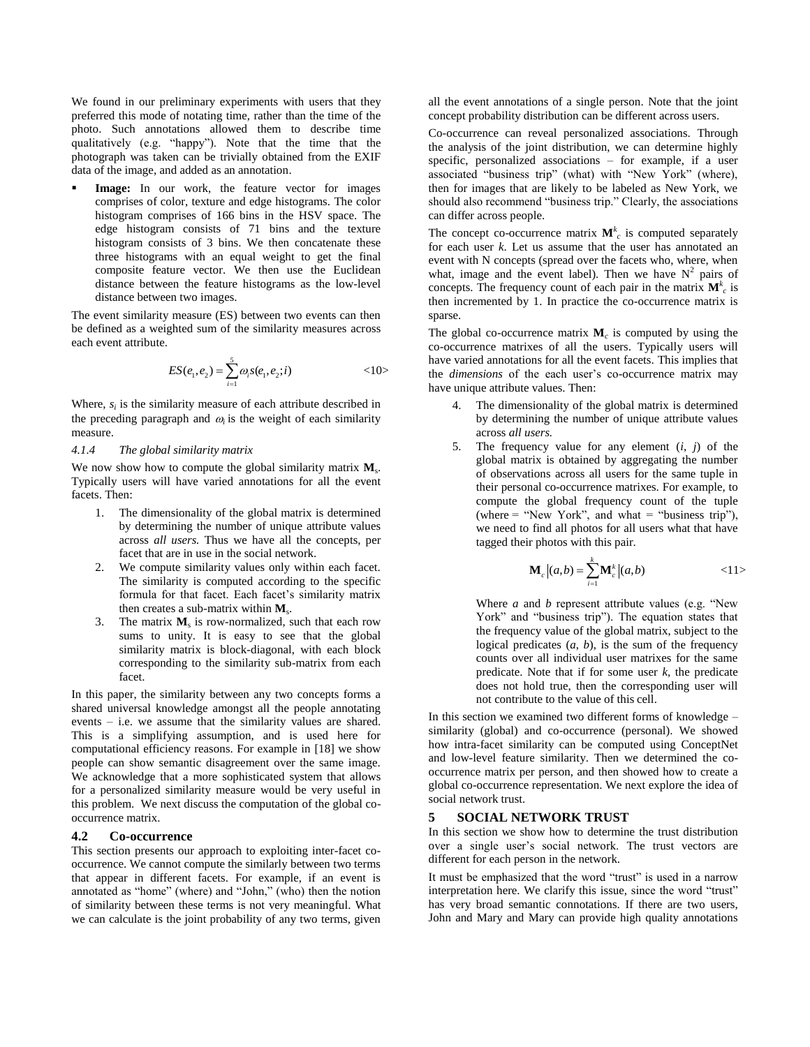We found in our preliminary experiments with users that they preferred this mode of notating time, rather than the time of the photo. Such annotations allowed them to describe time qualitatively (e.g. "happy"). Note that the time that the photograph was taken can be trivially obtained from the EXIF data of the image, and added as an annotation.

Image: In our work, the feature vector for images comprises of color, texture and edge histograms. The color histogram comprises of 166 bins in the HSV space. The edge histogram consists of 71 bins and the texture histogram consists of 3 bins. We then concatenate these three histograms with an equal weight to get the final composite feature vector. We then use the Euclidean distance between the feature histograms as the low-level distance between two images.

The event similarity measure (ES) between two events can then be defined as a weighted sum of the similarity measures across each event attribute.

$$
ES(e_1, e_2) = \sum_{i=1}^{5} \omega_i s(e_1, e_2; i)
$$
  $<10>$ 

Where,  $s_i$  is the similarity measure of each attribute described in the preceding paragraph and  $\omega_i$  is the weight of each similarity measure.

### <span id="page-5-1"></span>*4.1.4 The global similarity matrix*

We now show how to compute the global similarity matrix  $M_s$ . Typically users will have varied annotations for all the event facets. Then:

- 1. The dimensionality of the global matrix is determined by determining the number of unique attribute values across *all users.* Thus we have all the concepts, per facet that are in use in the social network.
- 2. We compute similarity values only within each facet. The similarity is computed according to the specific formula for that facet. Each facet's similarity matrix then creates a sub-matrix within  $M_s$ .
- 3. The matrix  $M_s$  is row-normalized, such that each row sums to unity. It is easy to see that the global similarity matrix is block-diagonal, with each block corresponding to the similarity sub-matrix from each facet.

In this paper, the similarity between any two concepts forms a shared universal knowledge amongst all the people annotating events – i.e. we assume that the similarity values are shared. This is a simplifying assumption, and is used here for computational efficiency reasons. For example in [18] we show people can show semantic disagreement over the same image. We acknowledge that a more sophisticated system that allows for a personalized similarity measure would be very useful in this problem. We next discuss the computation of the global cooccurrence matrix.

# **4.2 Co-occurrence**

This section presents our approach to exploiting inter-facet cooccurrence. We cannot compute the similarly between two terms that appear in different facets. For example, if an event is annotated as "home" (where) and "John," (who) then the notion of similarity between these terms is not very meaningful. What we can calculate is the joint probability of any two terms, given all the event annotations of a single person. Note that the joint concept probability distribution can be different across users.

Co-occurrence can reveal personalized associations. Through the analysis of the joint distribution, we can determine highly specific, personalized associations – for example, if a user associated "business trip" (what) with "New York" (where), then for images that are likely to be labeled as New York, we should also recommend "business trip." Clearly, the associations can differ across people.

The concept co-occurrence matrix  $M_c^k$  is computed separately for each user *k*. Let us assume that the user has annotated an event with N concepts (spread over the facets who, where, when what, image and the event label). Then we have  $N^2$  pairs of concepts. The frequency count of each pair in the matrix  $\mathbf{M}^k$  is then incremented by 1. In practice the co-occurrence matrix is sparse.

The global co-occurrence matrix  $M_c$  is computed by using the co-occurrence matrixes of all the users. Typically users will have varied annotations for all the event facets. This implies that the *dimensions* of the each user"s co-occurrence matrix may have unique attribute values. Then:

- 4. The dimensionality of the global matrix is determined by determining the number of unique attribute values across *all users.*
- 5. The frequency value for any element (*i*, *j*) of the global matrix is obtained by aggregating the number of observations across all users for the same tuple in their personal co-occurrence matrixes. For example, to compute the global frequency count of the tuple (where  $=$  "New York", and what  $=$  "business trip"), we need to find all photos for all users what that have tagged their photos with this pair.

$$
\mathbf{M}_c|(a,b) = \sum_{i=1}^k \mathbf{M}_c^k|(a,b) \qquad \qquad \le 11>
$$

Where *a* and *b* represent attribute values (e.g. "New York" and "business trip"). The equation states that the frequency value of the global matrix, subject to the logical predicates  $(a, b)$ , is the sum of the frequency counts over all individual user matrixes for the same predicate. Note that if for some user *k*, the predicate does not hold true, then the corresponding user will not contribute to the value of this cell.

In this section we examined two different forms of knowledge – similarity (global) and co-occurrence (personal). We showed how intra-facet similarity can be computed using ConceptNet and low-level feature similarity. Then we determined the cooccurrence matrix per person, and then showed how to create a global co-occurrence representation. We next explore the idea of social network trust.

#### <span id="page-5-0"></span>**5 SOCIAL NETWORK TRUST**

In this section we show how to determine the trust distribution over a single user"s social network. The trust vectors are different for each person in the network.

It must be emphasized that the word "trust" is used in a narrow interpretation here. We clarify this issue, since the word "trust" has very broad semantic connotations. If there are two users, John and Mary and Mary can provide high quality annotations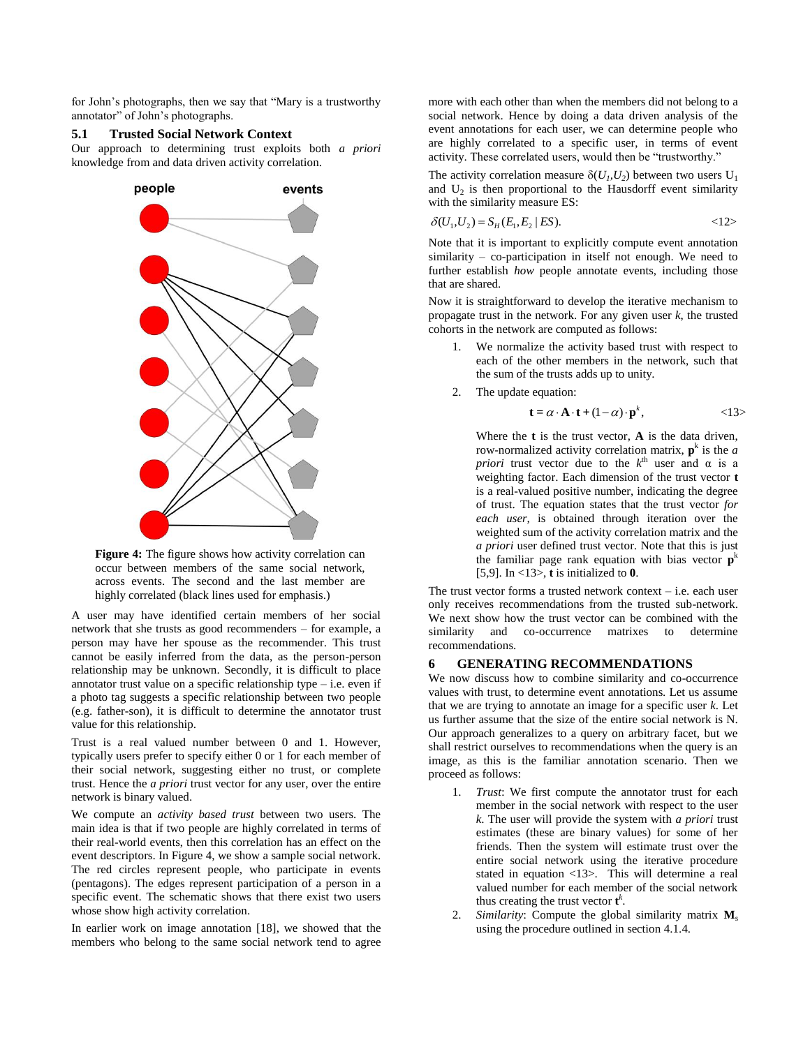for John"s photographs, then we say that "Mary is a trustworthy annotator" of John"s photographs.

# **5.1 Trusted Social Network Context**

Our approach to determining trust exploits both *a priori* knowledge from and data driven activity correlation.



<span id="page-6-0"></span>**Figure 4:** The figure shows how activity correlation can occur between members of the same social network, across events. The second and the last member are highly correlated (black lines used for emphasis.)

A user may have identified certain members of her social network that she trusts as good recommenders – for example, a person may have her spouse as the recommender. This trust cannot be easily inferred from the data, as the person-person relationship may be unknown. Secondly, it is difficult to place annotator trust value on a specific relationship type – i.e. even if a photo tag suggests a specific relationship between two people (e.g. father-son), it is difficult to determine the annotator trust value for this relationship.

Trust is a real valued number between 0 and 1. However, typically users prefer to specify either 0 or 1 for each member of their social network, suggesting either no trust, or complete trust. Hence the *a priori* trust vector for any user, over the entire network is binary valued.

We compute an *activity based trust* between two users. The main idea is that if two people are highly correlated in terms of their real-world events, then this correlation has an effect on the event descriptors. I[n Figure 4,](#page-6-0) we show a sample social network. The red circles represent people, who participate in events (pentagons). The edges represent participation of a person in a specific event. The schematic shows that there exist two users whose show high activity correlation.

In earlier work on image annotation [18], we showed that the members who belong to the same social network tend to agree more with each other than when the members did not belong to a social network. Hence by doing a data driven analysis of the event annotations for each user, we can determine people who are highly correlated to a specific user, in terms of event activity. These correlated users, would then be "trustworthy."

The activity correlation measure  $\delta(U_1, U_2)$  between two users  $U_1$ and  $U_2$  is then proportional to the Hausdorff event similarity with the similarity measure ES:

$$
\delta(U_1, U_2) = S_H(E_1, E_2 | ES).
$$
  $\langle 12 \rangle$ 

Note that it is important to explicitly compute event annotation similarity – co-participation in itself not enough. We need to further establish *how* people annotate events, including those that are shared.

Now it is straightforward to develop the iterative mechanism to propagate trust in the network. For any given user  $k$ , the trusted cohorts in the network are computed as follows:

- 1. We normalize the activity based trust with respect to each of the other members in the network, such that the sum of the trusts adds up to unity.
- 2. The update equation:

$$
\mathbf{t} = \alpha \cdot \mathbf{A} \cdot \mathbf{t} + (1 - \alpha) \cdot \mathbf{p}^k, \qquad \text{(13)}
$$

Where the **t** is the trust vector, **A** is the data driven, row-normalized activity correlation matrix,  $\mathbf{p}^k$  is the *a priori* trust vector due to the  $k^{\text{th}}$  user and  $\alpha$  is a weighting factor. Each dimension of the trust vector **t** is a real-valued positive number, indicating the degree of trust. The equation states that the trust vector *for each user,* is obtained through iteration over the weighted sum of the activity correlation matrix and the *a priori* user defined trust vector. Note that this is just the familiar page rank equation with bias vector **p** k [5,9]. In <13>, **t** is initialized to **0**.

The trust vector forms a trusted network context  $-$  i.e. each user only receives recommendations from the trusted sub-network. We next show how the trust vector can be combined with the similarity and co-occurrence matrixes to determine recommendations.

#### **6 GENERATING RECOMMENDATIONS**

We now discuss how to combine similarity and co-occurrence values with trust, to determine event annotations. Let us assume that we are trying to annotate an image for a specific user *k*. Let us further assume that the size of the entire social network is N. Our approach generalizes to a query on arbitrary facet, but we shall restrict ourselves to recommendations when the query is an image, as this is the familiar annotation scenario. Then we proceed as follows:

- 1. *Trust*: We first compute the annotator trust for each member in the social network with respect to the user *k*. The user will provide the system with *a priori* trust estimates (these are binary values) for some of her friends. Then the system will estimate trust over the entire social network using the iterative procedure stated in equation <13>. This will determine a real valued number for each member of the social network thus creating the trust vector  $t^k$ .
- 2. *Similarity*: Compute the global similarity matrix **M**<sup>s</sup> using the procedure outlined in section [4.1.4.](#page-5-1)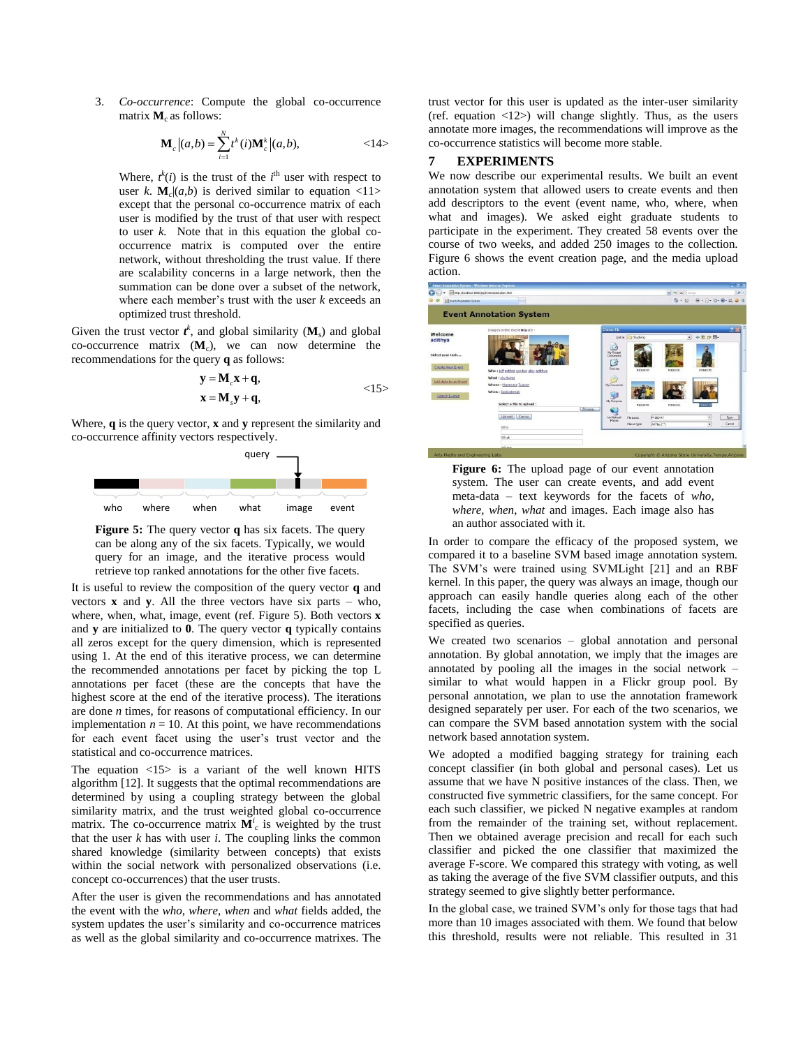3. *Co-occurrence*: Compute the global co-occurrence matrix  $M_c$  as follows:

$$
\mathbf{M}_c \left| (a,b) = \sum_{i=1}^N t^k(i) \mathbf{M}_c^k \left| (a,b), \right. \right. \tag{14}
$$

Where,  $t^k(i)$  is the trust of the  $i^{\text{th}}$  user with respect to user *k*.  $M_c|(a,b)$  is derived similar to equation <11> except that the personal co-occurrence matrix of each user is modified by the trust of that user with respect to user  $k$ . Note that in this equation the global cooccurrence matrix is computed over the entire network, without thresholding the trust value. If there are scalability concerns in a large network, then the summation can be done over a subset of the network, where each member's trust with the user *k* exceeds an optimized trust threshold.

Given the trust vector  $t^k$ , and global similarity  $(M_s)$  and global co-occurrence matrix  $(M_c)$ , we can now determine the recommendations for the query **q** as follows:

$$
y = Mcx + q,
$$
  
\n
$$
x = Msy + q,
$$
  
\n
$$
\langle 15 \rangle
$$

Where, **q** is the query vector, **x** and **y** represent the similarity and co-occurrence affinity vectors respectively.



<span id="page-7-1"></span>**Figure 5:** The query vector **q** has six facets. The query can be along any of the six facets. Typically, we would query for an image, and the iterative process would retrieve top ranked annotations for the other five facets.

It is useful to review the composition of the query vector **q** and vectors **x** and **y**. All the three vectors have six parts – who, where, when, what, image, event (ref. [Figure 5\)](#page-7-1). Both vectors **x** and **y** are initialized to **0**. The query vector **q** typically contains all zeros except for the query dimension, which is represented using 1. At the end of this iterative process, we can determine the recommended annotations per facet by picking the top L annotations per facet (these are the concepts that have the highest score at the end of the iterative process). The iterations are done *n* times, for reasons of computational efficiency. In our implementation  $n = 10$ . At this point, we have recommendations for each event facet using the user"s trust vector and the statistical and co-occurrence matrices.

The equation  $\langle 15 \rangle$  is a variant of the well known HITS algorithm [12]. It suggests that the optimal recommendations are determined by using a coupling strategy between the global similarity matrix, and the trust weighted global co-occurrence matrix. The co-occurrence matrix  $\mathbf{M}^i$  is weighted by the trust that the user  $k$  has with user  $i$ . The coupling links the common shared knowledge (similarity between concepts) that exists within the social network with personalized observations (i.e. concept co-occurrences) that the user trusts.

After the user is given the recommendations and has annotated the event with the *who*, *where*, *when* and *what* fields added, the system updates the user"s similarity and co-occurrence matrices as well as the global similarity and co-occurrence matrixes. The trust vector for this user is updated as the inter-user similarity (ref. equation  $\langle 12 \rangle$ ) will change slightly. Thus, as the users annotate more images, the recommendations will improve as the co-occurrence statistics will become more stable.

#### <span id="page-7-0"></span>**7 EXPERIMENTS**

We now describe our experimental results. We built an event annotation system that allowed users to create events and then add descriptors to the event (event name, who, where, when what and images). We asked eight graduate students to participate in the experiment. They created 58 events over the course of two weeks, and added 250 images to the collection. [Figure 6](#page-7-2) shows the event creation page, and the media upload action.



<span id="page-7-2"></span>

In order to compare the efficacy of the proposed system, we compared it to a baseline SVM based image annotation system. The SVM"s were trained using SVMLight [21] and an RBF kernel. In this paper, the query was always an image, though our approach can easily handle queries along each of the other facets, including the case when combinations of facets are specified as queries.

We created two scenarios – global annotation and personal annotation. By global annotation, we imply that the images are annotated by pooling all the images in the social network – similar to what would happen in a Flickr group pool. By personal annotation, we plan to use the annotation framework designed separately per user. For each of the two scenarios, we can compare the SVM based annotation system with the social network based annotation system.

We adopted a modified bagging strategy for training each concept classifier (in both global and personal cases). Let us assume that we have N positive instances of the class. Then, we constructed five symmetric classifiers, for the same concept. For each such classifier, we picked N negative examples at random from the remainder of the training set, without replacement. Then we obtained average precision and recall for each such classifier and picked the one classifier that maximized the average F-score. We compared this strategy with voting, as well as taking the average of the five SVM classifier outputs, and this strategy seemed to give slightly better performance.

In the global case, we trained SVM"s only for those tags that had more than 10 images associated with them. We found that below this threshold, results were not reliable. This resulted in 31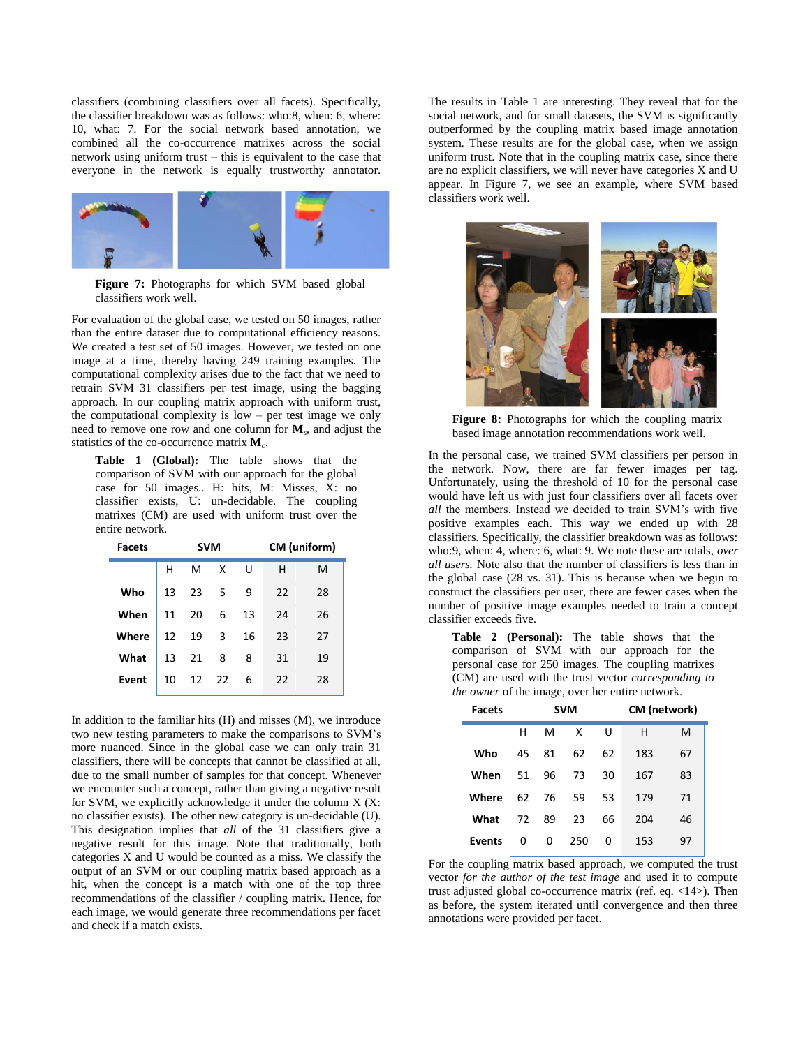classifiers (combining classifiers over all facets). Specifically, the classifier breakdown was as follows: who:8, when: 6, where: 10, what: 7. For the social network based annotation, we combined all the co-occurrence matrixes across the social network using uniform trust – this is equivalent to the case that everyone in the network is equally trustworthy annotator.



**Figure 7:** Photographs for which SVM based global classifiers work well.

<span id="page-8-1"></span>For evaluation of the global case, we tested on 50 images, rather than the entire dataset due to computational efficiency reasons. We created a test set of 50 images. However, we tested on one image at a time, thereby having 249 training examples. The computational complexity arises due to the fact that we need to retrain SVM 31 classifiers per test image, using the bagging approach. In our coupling matrix approach with uniform trust, the computational complexity is low – per test image we only need to remove one row and one column for **M***<sup>s</sup>* , and adjust the statistics of the co-occurrence matrix **M***<sup>c</sup>* .

<span id="page-8-0"></span>**Table 1 (Global):** The table shows that the comparison of SVM with our approach for the global case for 50 images.. H: hits, M: Misses, X: no classifier exists, U: un-decidable. The coupling matrixes (CM) are used with uniform trust over the entire network.

| <b>Facets</b> |    | <b>SVM</b> |              |        | CM (uniform) |    |  |
|---------------|----|------------|--------------|--------|--------------|----|--|
|               | н  | M          | X            | U      | н            | M  |  |
| Who           | 13 | 23         | 5            | 9      | 22           | 28 |  |
| When          | 11 | 20         |              | 6 13   | 24           | 26 |  |
| Where         | 12 | 19         |              | $3 16$ | 23           | 27 |  |
| What          | 13 | 21         | 8            | 8      | 31           | 19 |  |
| Event         | 10 | 12         | $22 \quad 6$ |        | 22           | 28 |  |

In addition to the familiar hits (H) and misses (M), we introduce two new testing parameters to make the comparisons to SVM"s more nuanced. Since in the global case we can only train 31 classifiers, there will be concepts that cannot be classified at all, due to the small number of samples for that concept. Whenever we encounter such a concept, rather than giving a negative result for SVM, we explicitly acknowledge it under the column X (X: no classifier exists). The other new category is un-decidable (U). This designation implies that *all* of the 31 classifiers give a negative result for this image. Note that traditionally, both categories X and U would be counted as a miss. We classify the output of an SVM or our coupling matrix based approach as a hit, when the concept is a match with one of the top three recommendations of the classifier / coupling matrix. Hence, for each image, we would generate three recommendations per facet and check if a match exists.

The results in [Table 1](#page-8-0) are interesting. They reveal that for the social network, and for small datasets, the SVM is significantly outperformed by the coupling matrix based image annotation system. These results are for the global case, when we assign uniform trust. Note that in the coupling matrix case, since there are no explicit classifiers, we will never have categories X and U appear. In [Figure 7,](#page-8-1) we see an example, where SVM based classifiers work well.



**Figure 8:** Photographs for which the coupling matrix based image annotation recommendations work well.

In the personal case, we trained SVM classifiers per person in the network. Now, there are far fewer images per tag. Unfortunately, using the threshold of 10 for the personal case would have left us with just four classifiers over all facets over *all* the members. Instead we decided to train SVM"s with five positive examples each. This way we ended up with 28 classifiers. Specifically, the classifier breakdown was as follows: who:9, when: 4, where: 6, what: 9. We note these are totals, *over all users.* Note also that the number of classifiers is less than in the global case (28 vs. 31). This is because when we begin to construct the classifiers per user, there are fewer cases when the number of positive image examples needed to train a concept classifier exceeds five.

<span id="page-8-2"></span>**Table 2 (Personal):** The table shows that the comparison of SVM with our approach for the personal case for 250 images. The coupling matrixes (CM) are used with the trust vector *corresponding to the owner* of the image, over her entire network.

| <b>Facets</b> |  | <b>SVM</b> | CM (network)                                                                                           |    |  |
|---------------|--|------------|--------------------------------------------------------------------------------------------------------|----|--|
|               |  |            | H M X U H<br>45 81 62 62 183<br>51 96 73 30 167<br>62 76 59 53 179<br>72 89 23 66 204<br>0 0 250 0 153 | M  |  |
| Who           |  |            |                                                                                                        | 67 |  |
| When          |  |            | 167                                                                                                    | 83 |  |
| Where         |  |            | 179                                                                                                    | 71 |  |
| What          |  |            |                                                                                                        | 46 |  |
| <b>Events</b> |  |            |                                                                                                        | 97 |  |

For the coupling matrix based approach, we computed the trust vector *for the author of the test image* and used it to compute trust adjusted global co-occurrence matrix (ref. eq. <14>). Then as before, the system iterated until convergence and then three annotations were provided per facet.